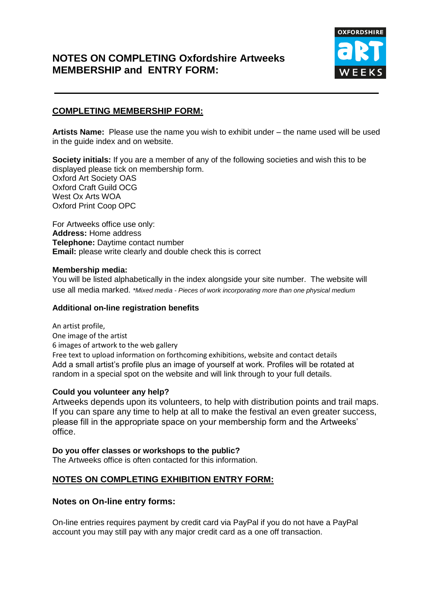# **NOTES ON COMPLETING Oxfordshire Artweeks MEMBERSHIP and ENTRY FORM:**



### **COMPLETING MEMBERSHIP FORM:**

**Artists Name:** Please use the name you wish to exhibit under – the name used will be used in the guide index and on website.

**Society initials:** If you are a member of any of the following societies and wish this to be displayed please tick on membership form. Oxford Art Society OAS Oxford Craft Guild OCG West Ox Arts WOA Oxford Print Coop OPC

For Artweeks office use only: **Address:** Home address **Telephone:** Daytime contact number **Email:** please write clearly and double check this is correct

#### **Membership media:**

You will be listed alphabetically in the index alongside your site number. The website will use all media marked. *\*Mixed media - Pieces of work incorporating more than one physical medium*

#### **Additional on-line registration benefits**

An artist profile, One image of the artist 6 images of artwork to the web gallery Free text to upload information on forthcoming exhibitions, website and contact details Add a small artist's profile plus an image of yourself at work. Profiles will be rotated at random in a special spot on the website and will link through to your full details.

### **Could you volunteer any help?**

Artweeks depends upon its volunteers, to help with distribution points and trail maps. If you can spare any time to help at all to make the festival an even greater success, please fill in the appropriate space on your membership form and the Artweeks' office.

## **Do you offer classes or workshops to the public?** The Artweeks office is often contacted for this information.

### **NOTES ON COMPLETING EXHIBITION ENTRY FORM:**

### **Notes on On-line entry forms:**

On-line entries requires payment by credit card via PayPal if you do not have a PayPal account you may still pay with any major credit card as a one off transaction.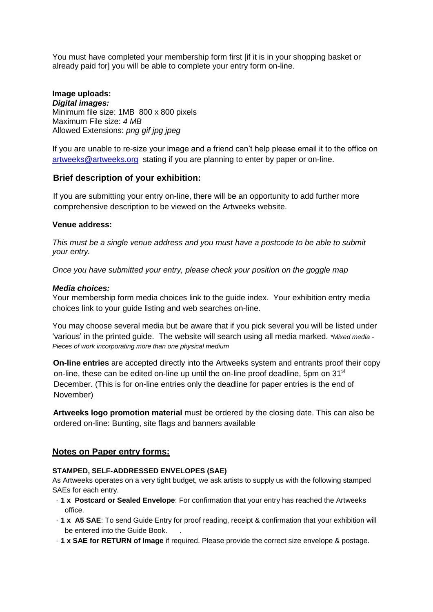You must have completed your membership form first [if it is in your shopping basket or already paid for] you will be able to complete your entry form on-line.

#### **Image uploads:** *Digital images:* Minimum file size: 1MB 800 x 800 pixels Maximum File size: *4 MB* Allowed Extensions: *png gif jpg jpeg*

If you are unable to re-size your image and a friend can't help please email it to the office on [artweeks@artweeks.org](mailto:artweeks@artweeks.org) stating if you are planning to enter by paper or on-line.

### **Brief description of your exhibition:**

If you are submitting your entry on-line, there will be an opportunity to add further more comprehensive description to be viewed on the Artweeks website.

### **Venue address:**

*This must be a single venue address and you must have a postcode to be able to submit your entry.*

*Once you have submitted your entry, please check your position on the goggle map* 

### *Media choices:*

Your membership form media choices link to the guide index. Your exhibition entry media choices link to your guide listing and web searches on-line.

You may choose several media but be aware that if you pick several you will be listed under 'various' in the printed guide. The website will search using all media marked. *\*Mixed media - Pieces of work incorporating more than one physical medium*

**On-line entries** are accepted directly into the Artweeks system and entrants proof their copy on-line, these can be edited on-line up until the on-line proof deadline, 5pm on 31<sup>st</sup> December. (This is for on-line entries only the deadline for paper entries is the end of November)

**Artweeks logo promotion material** must be ordered by the closing date. This can also be ordered on-line: Bunting, site flags and banners available

### **Notes on Paper entry forms:**

### **STAMPED, SELF-ADDRESSED ENVELOPES (SAE)**

As Artweeks operates on a very tight budget, we ask artists to supply us with the following stamped SAEs for each entry.

- · **1 x Postcard or Sealed Envelope**: For confirmation that your entry has reached the Artweeks office.
- · **1 x A5 SAE**: To send Guide Entry for proof reading, receipt & confirmation that your exhibition will be entered into the Guide Book. .
- · **1 x SAE for RETURN of Image** if required. Please provide the correct size envelope & postage.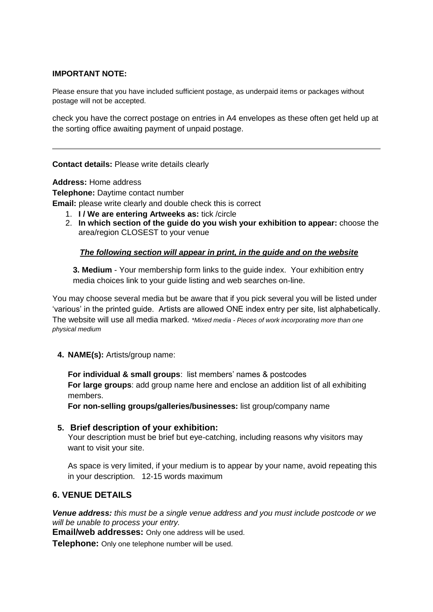### **IMPORTANT NOTE:**

Please ensure that you have included sufficient postage, as underpaid items or packages without postage will not be accepted.

check you have the correct postage on entries in A4 envelopes as these often get held up at the sorting office awaiting payment of unpaid postage.

**Contact details:** Please write details clearly

**Address:** Home address **Telephone:** Daytime contact number **Email:** please write clearly and double check this is correct

- 1. **I / We are entering Artweeks as:** tick /circle
- 2. **In which section of the guide do you wish your exhibition to appear:** choose the area/region CLOSEST to your venue

### *The following section will appear in print, in the guide and on the website*

**3. Medium** - Your membership form links to the guide index. Your exhibition entry media choices link to your guide listing and web searches on-line.

You may choose several media but be aware that if you pick several you will be listed under 'various' in the printed guide. Artists are allowed ONE index entry per site, list alphabetically. The website will use all media marked. *\*Mixed media - Pieces of work incorporating more than one physical medium*

**4. NAME(s):** Artists/group name:

**For individual & small groups**: list members' names & postcodes **For large groups**: add group name here and enclose an addition list of all exhibiting members.

**For non-selling groups/galleries/businesses:** list group/company name

### **5. Brief description of your exhibition:**

Your description must be brief but eye-catching, including reasons why visitors may want to visit your site.

As space is very limited, if your medium is to appear by your name, avoid repeating this in your description. 12-15 words maximum

### **6. VENUE DETAILS**

*Venue address: this must be a single venue address and you must include postcode or we will be unable to process your entry.*

**Email/web addresses:** Only one address will be used.

**Telephone:** Only one telephone number will be used.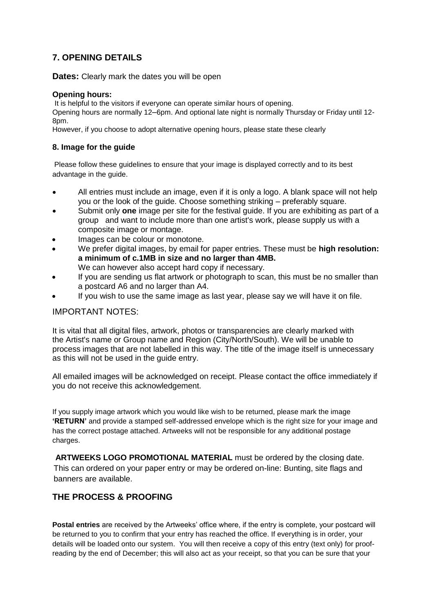# **7. OPENING DETAILS**

**Dates:** Clearly mark the dates you will be open

#### **Opening hours:**

It is helpful to the visitors if everyone can operate similar hours of opening.

Opening hours are normally 12–6pm. And optional late night is normally Thursday or Friday until 12- 8pm.

However, if you choose to adopt alternative opening hours, please state these clearly

### **8. Image for the guide**

Please follow these guidelines to ensure that your image is displayed correctly and to its best advantage in the guide.

- All entries must include an image, even if it is only a logo. A blank space will not help you or the look of the guide. Choose something striking – preferably square.
- Submit only **one** image per site for the festival guide. If you are exhibiting as part of a group and want to include more than one artist's work, please supply us with a composite image or montage.
- Images can be colour or monotone.
- We prefer digital images, by email for paper entries. These must be **high resolution: a minimum of c.1MB in size and no larger than 4MB.**  We can however also accept hard copy if necessary.
- If you are sending us flat artwork or photograph to scan, this must be no smaller than a postcard A6 and no larger than A4.
- If you wish to use the same image as last year, please say we will have it on file.

### IMPORTANT NOTES:

It is vital that all digital files, artwork, photos or transparencies are clearly marked with the Artist's name or Group name and Region (City/North/South). We will be unable to process images that are not labelled in this way. The title of the image itself is unnecessary as this will not be used in the guide entry.

All emailed images will be acknowledged on receipt. Please contact the office immediately if you do not receive this acknowledgement.

If you supply image artwork which you would like wish to be returned, please mark the image **'RETURN'** and provide a stamped self-addressed envelope which is the right size for your image and has the correct postage attached. Artweeks will not be responsible for any additional postage charges.

**ARTWEEKS LOGO PROMOTIONAL MATERIAL** must be ordered by the closing date. This can ordered on your paper entry or may be ordered on-line: Bunting, site flags and banners are available.

### **THE PROCESS & PROOFING**

**Postal entries** are received by the Artweeks' office where, if the entry is complete, your postcard will be returned to you to confirm that your entry has reached the office. If everything is in order, your details will be loaded onto our system. You will then receive a copy of this entry (text only) for proofreading by the end of December; this will also act as your receipt, so that you can be sure that your